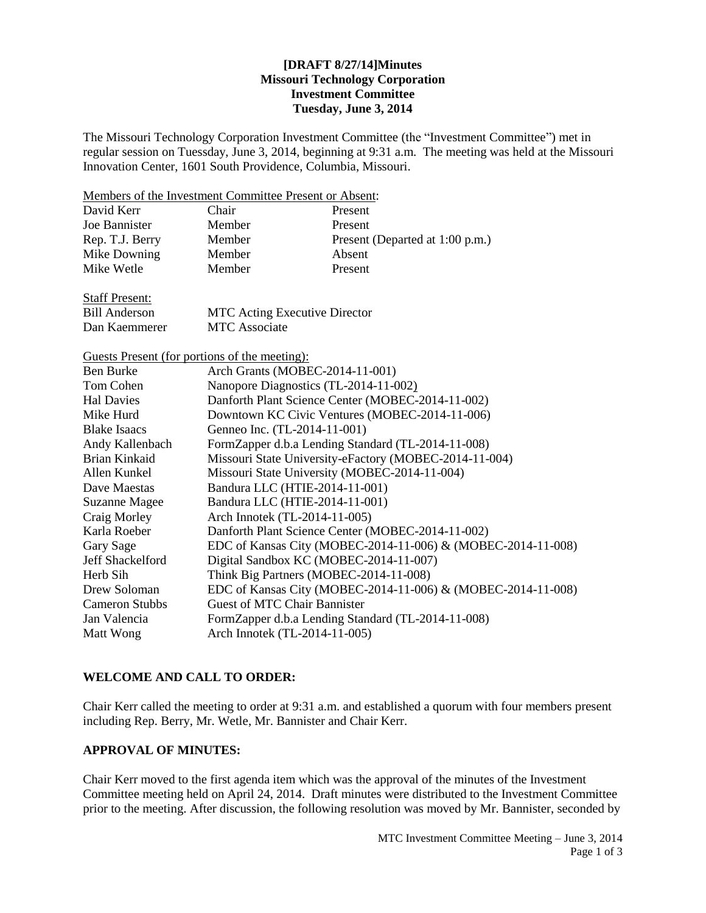## **[DRAFT 8/27/14]Minutes Missouri Technology Corporation Investment Committee Tuesday, June 3, 2014**

The Missouri Technology Corporation Investment Committee (the "Investment Committee") met in regular session on Tuessday, June 3, 2014, beginning at 9:31 a.m. The meeting was held at the Missouri Innovation Center, 1601 South Providence, Columbia, Missouri.

Members of the Investment Committee Present or Absent:

| David Kerr            | Chair  | Present                         |
|-----------------------|--------|---------------------------------|
| Joe Bannister         | Member | Present                         |
| Rep. T.J. Berry       | Member | Present (Departed at 1:00 p.m.) |
| Mike Downing          | Member | Absent                          |
| Mike Wetle            | Member | Present                         |
| <b>Staff Present:</b> |        |                                 |

Dan Kaemmerer MTC Associate

Bill Anderson MTC Acting Executive Director

Guests Present (for portions of the meeting): Ben Burke Arch Grants (MOBEC-2014-11-001) Tom Cohen Nanopore Diagnostics (TL-2014-11-002) Hal Davies Danforth Plant Science Center (MOBEC-2014-11-002) Mike Hurd Downtown KC Civic Ventures (MOBEC-2014-11-006) Blake Isaacs Genneo Inc. (TL-2014-11-001) Andy Kallenbach FormZapper d.b.a Lending Standard (TL-2014-11-008) Brian Kinkaid Missouri State University-eFactory (MOBEC-2014-11-004) Allen Kunkel Missouri State University (MOBEC-2014-11-004) Dave Maestas Bandura LLC (HTIE-2014-11-001) Suzanne Magee Bandura LLC (HTIE-2014-11-001) Craig Morley Arch Innotek (TL-2014-11-005) Karla Roeber Danforth Plant Science Center (MOBEC-2014-11-002) Gary Sage EDC of Kansas City (MOBEC-2014-11-006) & (MOBEC-2014-11-008) Jeff Shackelford Digital Sandbox KC (MOBEC-2014-11-007) Herb Sih Think Big Partners (MOBEC-2014-11-008) Drew Soloman EDC of Kansas City (MOBEC-2014-11-006) & (MOBEC-2014-11-008) Cameron Stubbs Guest of MTC Chair Bannister Jan Valencia FormZapper d.b.a Lending Standard (TL-2014-11-008) Matt Wong Arch Innotek (TL-2014-11-005)

## **WELCOME AND CALL TO ORDER:**

Chair Kerr called the meeting to order at 9:31 a.m. and established a quorum with four members present including Rep. Berry, Mr. Wetle, Mr. Bannister and Chair Kerr.

#### **APPROVAL OF MINUTES:**

Chair Kerr moved to the first agenda item which was the approval of the minutes of the Investment Committee meeting held on April 24, 2014. Draft minutes were distributed to the Investment Committee prior to the meeting. After discussion, the following resolution was moved by Mr. Bannister, seconded by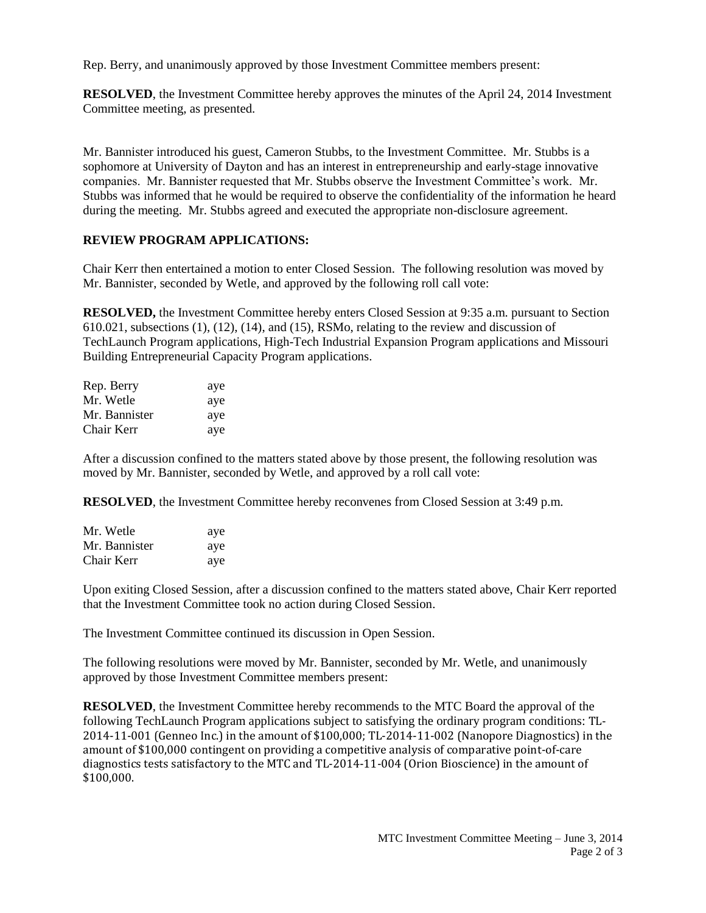Rep. Berry, and unanimously approved by those Investment Committee members present:

**RESOLVED**, the Investment Committee hereby approves the minutes of the April 24, 2014 Investment Committee meeting, as presented.

Mr. Bannister introduced his guest, Cameron Stubbs, to the Investment Committee. Mr. Stubbs is a sophomore at University of Dayton and has an interest in entrepreneurship and early-stage innovative companies. Mr. Bannister requested that Mr. Stubbs observe the Investment Committee's work. Mr. Stubbs was informed that he would be required to observe the confidentiality of the information he heard during the meeting. Mr. Stubbs agreed and executed the appropriate non-disclosure agreement.

#### **REVIEW PROGRAM APPLICATIONS:**

Chair Kerr then entertained a motion to enter Closed Session. The following resolution was moved by Mr. Bannister, seconded by Wetle, and approved by the following roll call vote:

**RESOLVED,** the Investment Committee hereby enters Closed Session at 9:35 a.m. pursuant to Section 610.021, subsections (1), (12), (14), and (15), RSMo, relating to the review and discussion of TechLaunch Program applications, High-Tech Industrial Expansion Program applications and Missouri Building Entrepreneurial Capacity Program applications.

| Rep. Berry    | aye |
|---------------|-----|
| Mr. Wetle     | aye |
| Mr. Bannister | aye |
| Chair Kerr    | aye |

After a discussion confined to the matters stated above by those present, the following resolution was moved by Mr. Bannister, seconded by Wetle, and approved by a roll call vote:

**RESOLVED**, the Investment Committee hereby reconvenes from Closed Session at 3:49 p.m.

| Mr. Wetle     | aye |
|---------------|-----|
| Mr. Bannister | aye |
| Chair Kerr    | aye |

Upon exiting Closed Session, after a discussion confined to the matters stated above, Chair Kerr reported that the Investment Committee took no action during Closed Session.

The Investment Committee continued its discussion in Open Session.

The following resolutions were moved by Mr. Bannister, seconded by Mr. Wetle, and unanimously approved by those Investment Committee members present:

**RESOLVED**, the Investment Committee hereby recommends to the MTC Board the approval of the following TechLaunch Program applications subject to satisfying the ordinary program conditions: TL-2014-11-001 (Genneo Inc.) in the amount of \$100,000; TL-2014-11-002 (Nanopore Diagnostics) in the amount of \$100,000 contingent on providing a competitive analysis of comparative point-of-care diagnostics tests satisfactory to the MTC and TL-2014-11-004 (Orion Bioscience) in the amount of \$100,000.